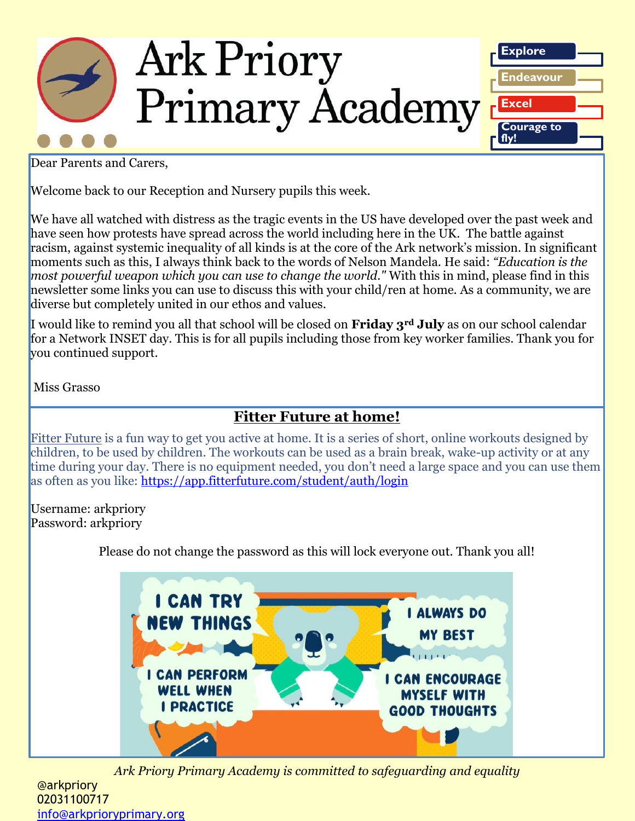

Dear Parents and Carers,

Welcome back to our Reception and Nursery pupils this week.

We have all watched with distress as the tragic events in the US have developed over the past week and have seen how protests have spread across the world including here in the UK. The battle against racism, against systemic inequality of all kinds is at the core of the Ark network's mission. In significant moments such as this, I always think back to the words of Nelson Mandela. He said: *"Education is the most powerful weapon which you can use to change the world."* With this in mind, please find in this newsletter some links you can use to discuss this with your child/ren at home. As a community, we are diverse but completely united in our ethos and values.

I would like to remind you all that school will be closed on **Friday 3rd July** as on our school calendar for a Network INSET day. This is for all pupils including those from key worker families. Thank you for you continued support.

Miss Grasso

## **Fitter Future at home!**

[Fitter Future](https://www.fitterfuture.com/) is a fun way to get you active at home. It is a series of short, online workouts designed by children, to be used by children. The workouts can be used as a brain break, wake-up activity or at any time during your day. There is no equipment needed, you don't need a large space and you can use them as often as you like:<https://app.fitterfuture.com/student/auth/login>

Username: arkpriory Password: arkpriory

Please do not change the password as this will lock everyone out. Thank you all!



*Ark Priory Primary Academy is committed to safeguarding and equality* 

@arkpriory 02031100717 [info@arkprioryprimary.org](mailto:info@arkprioryprimary.org)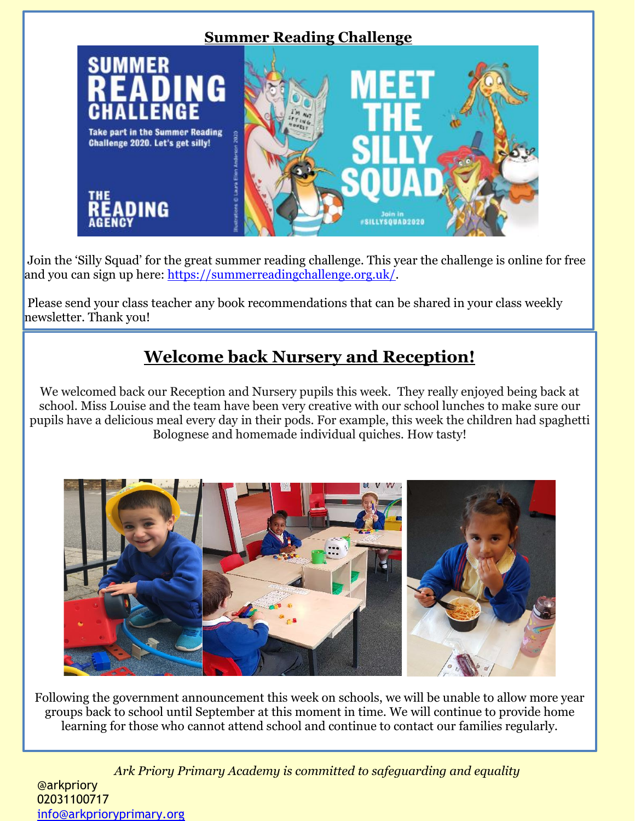

Join the 'Silly Squad' for the great summer reading challenge. This year the challenge is online for free and you can sign up here: [https://summerreadingchallenge.org.uk/.](https://summerreadingchallenge.org.uk/)

Please send your class teacher any book recommendations that can be shared in your class weekly newsletter. Thank you!

# **Welcome back Nursery and Reception!**

We welcomed back our Reception and Nursery pupils this week. They really enjoyed being back at school. Miss Louise and the team have been very creative with our school lunches to make sure our pupils have a delicious meal every day in their pods. For example, this week the children had spaghetti Bolognese and homemade individual quiches. How tasty!



Following the government announcement this week on schools, we will be unable to allow more year groups back to school until September at this moment in time. We will continue to provide home learning for those who cannot attend school and continue to contact our families regularly.

*Ark Priory Primary Academy is committed to safeguarding and equality*  @arkpriory 02031100717 [info@arkprioryprimary.org](mailto:info@arkprioryprimary.org)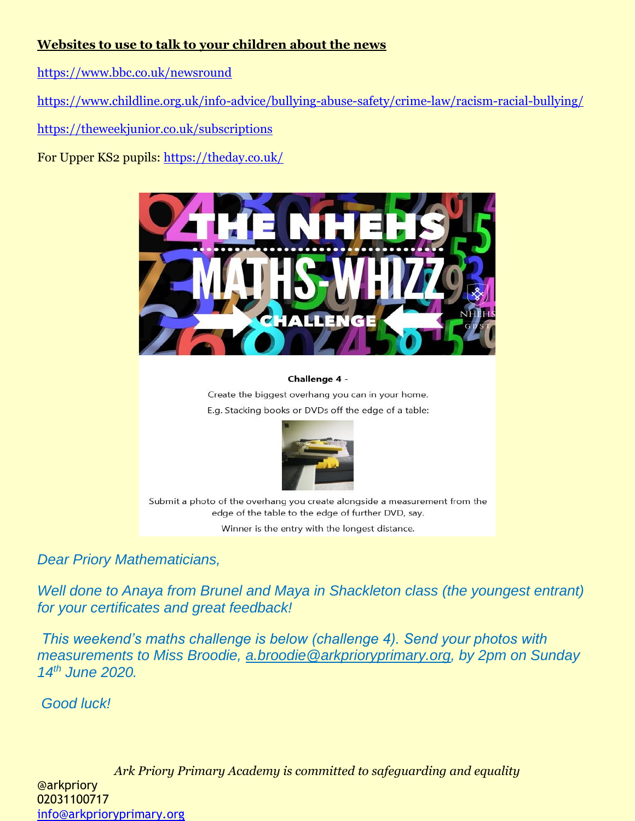### **Websites to use to talk to your children about the news**

<https://www.bbc.co.uk/newsround>

<https://www.childline.org.uk/info-advice/bullying-abuse-safety/crime-law/racism-racial-bullying/>

<https://theweekjunior.co.uk/subscriptions>

For Upper KS2 pupils:<https://theday.co.uk/>



#### Challenge 4 -

Create the biggest overhang you can in your home. E.g. Stacking books or DVDs off the edge of a table:



Submit a photo of the overhang you create alongside a measurement from the edge of the table to the edge of further DVD, say.

Winner is the entry with the longest distance.

*Dear Priory Mathematicians,*

*Well done to Anaya from Brunel and Maya in Shackleton class (the youngest entrant) for your certificates and great feedback!*

*This weekend's maths challenge is below (challenge 4). Send your photos with measurements to Miss Broodie, [a.broodie@arkprioryprimary.org,](mailto:a.broodie@arkprioryprimary.org) by 2pm on Sunday 14th June 2020.* 

*Good luck!*

*Ark Priory Primary Academy is committed to safeguarding and equality*  @arkpriory 02031100717 [info@arkprioryprimary.org](mailto:info@arkprioryprimary.org)